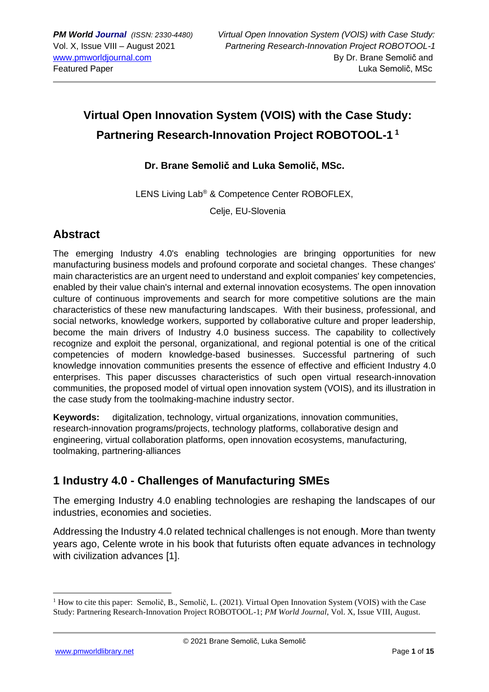# **Virtual Open Innovation System (VOIS) with the Case Study: Partnering Research-Innovation Project ROBOTOOL-1 1**

#### **Dr. Brane Semolič and Luka Semolič, MSc.**

LENS Living Lab® & Competence Center ROBOFLEX,

Celje, EU-Slovenia

### **Abstract**

The emerging Industry 4.0's enabling technologies are bringing opportunities for new manufacturing business models and profound corporate and societal changes. These changes' main characteristics are an urgent need to understand and exploit companies' key competencies, enabled by their value chain's internal and external innovation ecosystems. The open innovation culture of continuous improvements and search for more competitive solutions are the main characteristics of these new manufacturing landscapes. With their business, professional, and social networks, knowledge workers, supported by collaborative culture and proper leadership, become the main drivers of Industry 4.0 business success. The capability to collectively recognize and exploit the personal, organizational, and regional potential is one of the critical competencies of modern knowledge-based businesses. Successful partnering of such knowledge innovation communities presents the essence of effective and efficient Industry 4.0 enterprises. This paper discusses characteristics of such open virtual research-innovation communities, the proposed model of virtual open innovation system (VOIS), and its illustration in the case study from the toolmaking-machine industry sector.

**Keywords:** digitalization, technology, virtual organizations, innovation communities, research-innovation programs/projects, technology platforms, collaborative design and engineering, virtual collaboration platforms, open innovation ecosystems, manufacturing, toolmaking, partnering-alliances

### **1 Industry 4.0 - Challenges of Manufacturing SMEs**

The emerging Industry 4.0 enabling technologies are reshaping the landscapes of our industries, economies and societies.

Addressing the Industry 4.0 related technical challenges is not enough. More than twenty years ago, Celente wrote in his book that futurists often equate advances in technology with civilization advances [1].

<sup>&</sup>lt;sup>1</sup> How to cite this paper: Semolič, B., Semolič, L. (2021). Virtual Open Innovation System (VOIS) with the Case Study: Partnering Research-Innovation Project ROBOTOOL-1; *PM World Journal*, Vol. X, Issue VIII, August.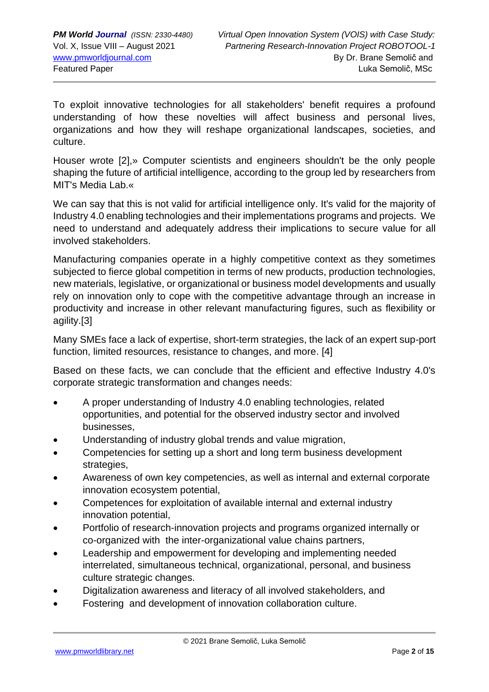To exploit innovative technologies for all stakeholders' benefit requires a profound understanding of how these novelties will affect business and personal lives, organizations and how they will reshape organizational landscapes, societies, and culture.

Houser wrote [2],» Computer scientists and engineers shouldn't be the only people shaping the future of artificial intelligence, according to the group led by researchers from MIT's Media Lab.«

We can say that this is not valid for artificial intelligence only. It's valid for the majority of Industry 4.0 enabling technologies and their implementations programs and projects. We need to understand and adequately address their implications to secure value for all involved stakeholders.

Manufacturing companies operate in a highly competitive context as they sometimes subjected to fierce global competition in terms of new products, production technologies, new materials, legislative, or organizational or business model developments and usually rely on innovation only to cope with the competitive advantage through an increase in productivity and increase in other relevant manufacturing figures, such as flexibility or agility.[3]

Many SMEs face a lack of expertise, short-term strategies, the lack of an expert sup-port function, limited resources, resistance to changes, and more. [4]

Based on these facts, we can conclude that the efficient and effective Industry 4.0's corporate strategic transformation and changes needs:

- A proper understanding of Industry 4.0 enabling technologies, related opportunities, and potential for the observed industry sector and involved businesses,
- Understanding of industry global trends and value migration,
- Competencies for setting up a short and long term business development strategies,
- Awareness of own key competencies, as well as internal and external corporate innovation ecosystem potential,
- Competences for exploitation of available internal and external industry innovation potential,
- Portfolio of research-innovation projects and programs organized internally or co-organized with the inter-organizational value chains partners,
- Leadership and empowerment for developing and implementing needed interrelated, simultaneous technical, organizational, personal, and business culture strategic changes.
- Digitalization awareness and literacy of all involved stakeholders, and
- Fostering and development of innovation collaboration culture.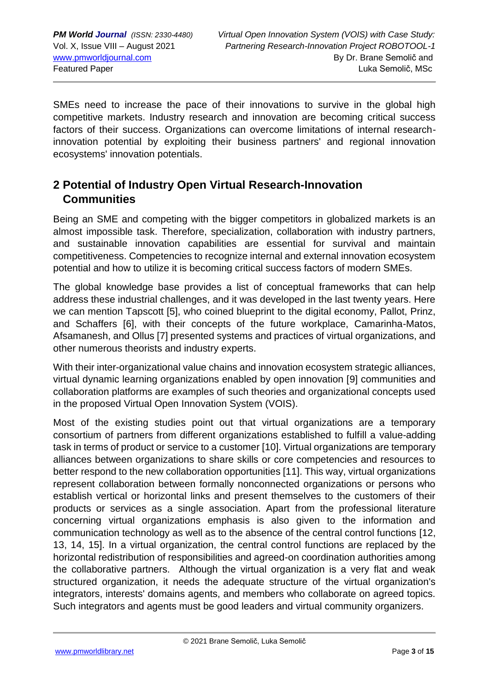SMEs need to increase the pace of their innovations to survive in the global high competitive markets. Industry research and innovation are becoming critical success factors of their success. Organizations can overcome limitations of internal researchinnovation potential by exploiting their business partners' and regional innovation ecosystems' innovation potentials.

### **2 Potential of Industry Open Virtual Research-Innovation Communities**

Being an SME and competing with the bigger competitors in globalized markets is an almost impossible task. Therefore, specialization, collaboration with industry partners, and sustainable innovation capabilities are essential for survival and maintain competitiveness. Competencies to recognize internal and external innovation ecosystem potential and how to utilize it is becoming critical success factors of modern SMEs.

The global knowledge base provides a list of conceptual frameworks that can help address these industrial challenges, and it was developed in the last twenty years. Here we can mention Tapscott [5], who coined blueprint to the digital economy, Pallot, Prinz, and Schaffers [6], with their concepts of the future workplace, Camarinha-Matos, Afsamanesh, and Ollus [7] presented systems and practices of virtual organizations, and other numerous theorists and industry experts.

With their inter-organizational value chains and innovation ecosystem strategic alliances, virtual dynamic learning organizations enabled by open innovation [9] communities and collaboration platforms are examples of such theories and organizational concepts used in the proposed Virtual Open Innovation System (VOIS).

Most of the existing studies point out that virtual organizations are a temporary consortium of partners from different organizations established to fulfill a value-adding task in terms of product or service to a customer [10]. Virtual organizations are temporary alliances between organizations to share skills or core competencies and resources to better respond to the new collaboration opportunities [11]. This way, virtual organizations represent collaboration between formally nonconnected organizations or persons who establish vertical or horizontal links and present themselves to the customers of their products or services as a single association. Apart from the professional literature concerning virtual organizations emphasis is also given to the information and communication technology as well as to the absence of the central control functions [12, 13, 14, 15]. In a virtual organization, the central control functions are replaced by the horizontal redistribution of responsibilities and agreed-on coordination authorities among the collaborative partners. Although the virtual organization is a very flat and weak structured organization, it needs the adequate structure of the virtual organization's integrators, interests' domains agents, and members who collaborate on agreed topics. Such integrators and agents must be good leaders and virtual community organizers.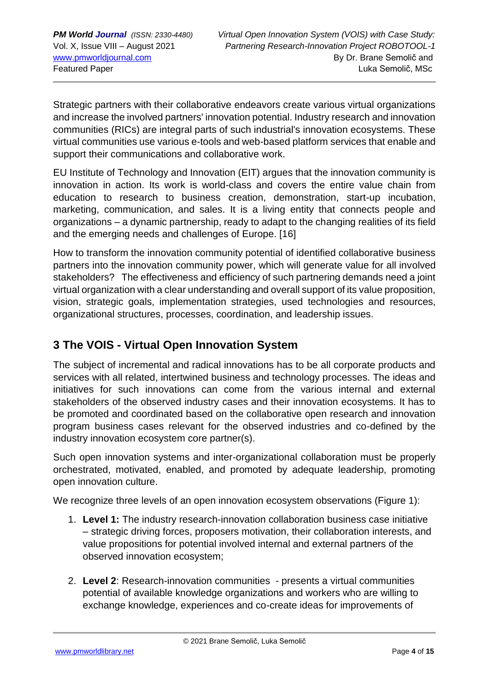Strategic partners with their collaborative endeavors create various virtual organizations and increase the involved partners' innovation potential. Industry research and innovation communities (RICs) are integral parts of such industrial's innovation ecosystems. These virtual communities use various e-tools and web-based platform services that enable and support their communications and collaborative work.

EU Institute of Technology and Innovation (EIT) argues that the innovation community is innovation in action. Its work is world-class and covers the entire value chain from education to research to business creation, demonstration, start-up incubation, marketing, communication, and sales. It is a living entity that connects people and organizations – a dynamic partnership, ready to adapt to the changing realities of its field and the emerging needs and challenges of Europe. [16]

How to transform the innovation community potential of identified collaborative business partners into the innovation community power, which will generate value for all involved stakeholders? The effectiveness and efficiency of such partnering demands need a joint virtual organization with a clear understanding and overall support of its value proposition, vision, strategic goals, implementation strategies, used technologies and resources, organizational structures, processes, coordination, and leadership issues.

# **3 The VOIS - Virtual Open Innovation System**

The subject of incremental and radical innovations has to be all corporate products and services with all related, intertwined business and technology processes. The ideas and initiatives for such innovations can come from the various internal and external stakeholders of the observed industry cases and their innovation ecosystems. It has to be promoted and coordinated based on the collaborative open research and innovation program business cases relevant for the observed industries and co-defined by the industry innovation ecosystem core partner(s).

Such open innovation systems and inter-organizational collaboration must be properly orchestrated, motivated, enabled, and promoted by adequate leadership, promoting open innovation culture.

We recognize three levels of an open innovation ecosystem observations (Figure 1):

- 1. **Level 1:** The industry research-innovation collaboration business case initiative – strategic driving forces, proposers motivation, their collaboration interests, and value propositions for potential involved internal and external partners of the observed innovation ecosystem;
- 2. **Level 2**: Research-innovation communities presents a virtual communities potential of available knowledge organizations and workers who are willing to exchange knowledge, experiences and co-create ideas for improvements of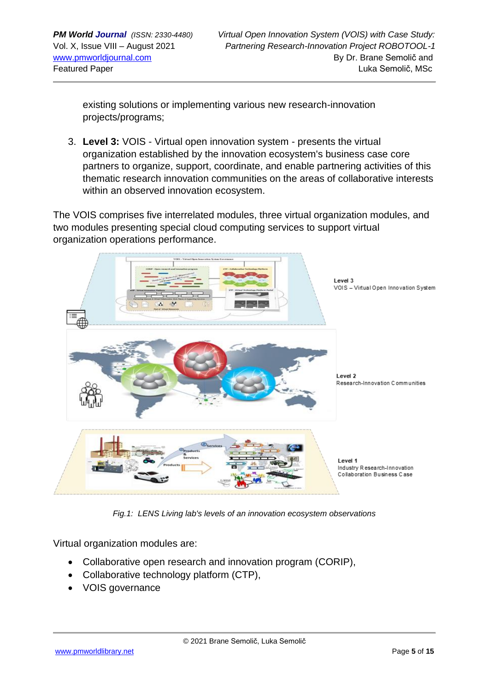existing solutions or implementing various new research-innovation projects/programs;

3. **Level 3:** VOIS - Virtual open innovation system - presents the virtual organization established by the innovation ecosystem's business case core partners to organize, support, coordinate, and enable partnering activities of this thematic research innovation communities on the areas of collaborative interests within an observed innovation ecosystem.

The VOIS comprises five interrelated modules, three virtual organization modules, and two modules presenting special cloud computing services to support virtual organization operations performance.



*Fig.1: LENS Living lab's levels of an innovation ecosystem observations*

Virtual organization modules are:

- Collaborative open research and innovation program (CORIP),
- Collaborative technology platform (CTP),
- VOIS governance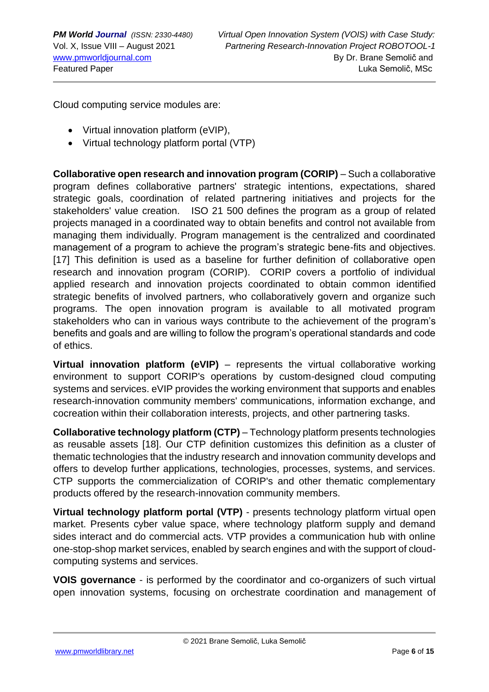Cloud computing service modules are:

- Virtual innovation platform (eVIP),
- Virtual technology platform portal (VTP)

**Collaborative open research and innovation program (CORIP)** – Such a collaborative program defines collaborative partners' strategic intentions, expectations, shared strategic goals, coordination of related partnering initiatives and projects for the stakeholders' value creation. ISO 21 500 defines the program as a group of related projects managed in a coordinated way to obtain benefits and control not available from managing them individually. Program management is the centralized and coordinated management of a program to achieve the program's strategic bene-fits and objectives. [17] This definition is used as a baseline for further definition of collaborative open research and innovation program (CORIP). CORIP covers a portfolio of individual applied research and innovation projects coordinated to obtain common identified strategic benefits of involved partners, who collaboratively govern and organize such programs. The open innovation program is available to all motivated program stakeholders who can in various ways contribute to the achievement of the program's benefits and goals and are willing to follow the program's operational standards and code of ethics.

**Virtual innovation platform (eVIP)** – represents the virtual collaborative working environment to support CORIP's operations by custom-designed cloud computing systems and services. eVIP provides the working environment that supports and enables research-innovation community members' communications, information exchange, and cocreation within their collaboration interests, projects, and other partnering tasks.

**Collaborative technology platform (CTP)** – Technology platform presents technologies as reusable assets [18]. Our CTP definition customizes this definition as a cluster of thematic technologies that the industry research and innovation community develops and offers to develop further applications, technologies, processes, systems, and services. CTP supports the commercialization of CORIP's and other thematic complementary products offered by the research-innovation community members.

**Virtual technology platform portal (VTP)** - presents technology platform virtual open market. Presents cyber value space, where technology platform supply and demand sides interact and do commercial acts. VTP provides a communication hub with online one-stop-shop market services, enabled by search engines and with the support of cloudcomputing systems and services.

**VOIS governance** - is performed by the coordinator and co-organizers of such virtual open innovation systems, focusing on orchestrate coordination and management of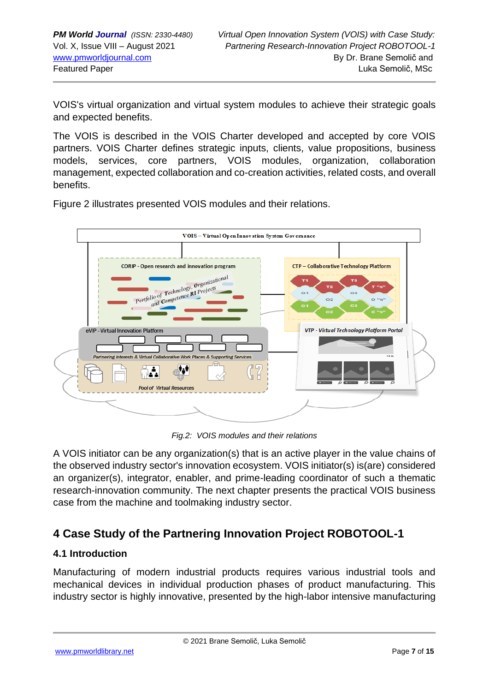VOIS's virtual organization and virtual system modules to achieve their strategic goals and expected benefits.

The VOIS is described in the VOIS Charter developed and accepted by core VOIS partners. VOIS Charter defines strategic inputs, clients, value propositions, business models, services, core partners, VOIS modules, organization, collaboration management, expected collaboration and co-creation activities, related costs, and overall benefits.



Figure 2 illustrates presented VOIS modules and their relations.

*Fig.2: VOIS modules and their relations*

A VOIS initiator can be any organization(s) that is an active player in the value chains of the observed industry sector's innovation ecosystem. VOIS initiator(s) is(are) considered an organizer(s), integrator, enabler, and prime-leading coordinator of such a thematic research-innovation community. The next chapter presents the practical VOIS business case from the machine and toolmaking industry sector.

# **4 Case Study of the Partnering Innovation Project ROBOTOOL-1**

#### **4.1 Introduction**

Manufacturing of modern industrial products requires various industrial tools and mechanical devices in individual production phases of product manufacturing. This industry sector is highly innovative, presented by the high-labor intensive manufacturing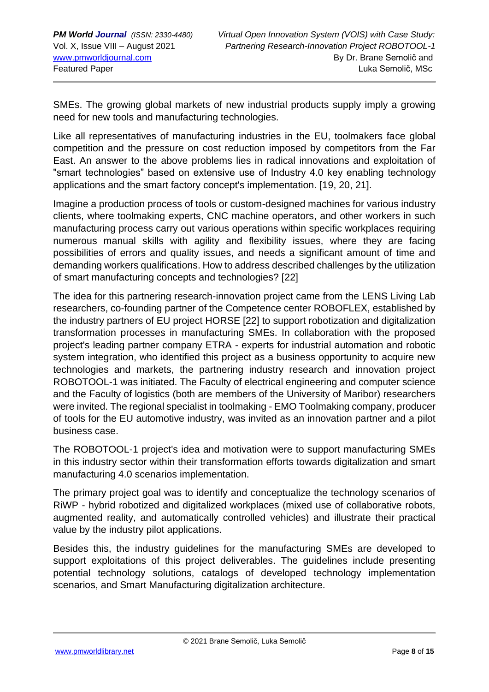SMEs. The growing global markets of new industrial products supply imply a growing need for new tools and manufacturing technologies.

Like all representatives of manufacturing industries in the EU, toolmakers face global competition and the pressure on cost reduction imposed by competitors from the Far East. An answer to the above problems lies in radical innovations and exploitation of "smart technologies" based on extensive use of Industry 4.0 key enabling technology applications and the smart factory concept's implementation. [19, 20, 21].

Imagine a production process of tools or custom-designed machines for various industry clients, where toolmaking experts, CNC machine operators, and other workers in such manufacturing process carry out various operations within specific workplaces requiring numerous manual skills with agility and flexibility issues, where they are facing possibilities of errors and quality issues, and needs a significant amount of time and demanding workers qualifications. How to address described challenges by the utilization of smart manufacturing concepts and technologies? [22]

The idea for this partnering research-innovation project came from the LENS Living Lab researchers, co-founding partner of the Competence center ROBOFLEX, established by the industry partners of EU project HORSE [22] to support robotization and digitalization transformation processes in manufacturing SMEs. In collaboration with the proposed project's leading partner company ETRA - experts for industrial automation and robotic system integration, who identified this project as a business opportunity to acquire new technologies and markets, the partnering industry research and innovation project ROBOTOOL-1 was initiated. The Faculty of electrical engineering and computer science and the Faculty of logistics (both are members of the University of Maribor) researchers were invited. The regional specialist in toolmaking - EMO Toolmaking company, producer of tools for the EU automotive industry, was invited as an innovation partner and a pilot business case.

The ROBOTOOL-1 project's idea and motivation were to support manufacturing SMEs in this industry sector within their transformation efforts towards digitalization and smart manufacturing 4.0 scenarios implementation.

The primary project goal was to identify and conceptualize the technology scenarios of RiWP - hybrid robotized and digitalized workplaces (mixed use of collaborative robots, augmented reality, and automatically controlled vehicles) and illustrate their practical value by the industry pilot applications.

Besides this, the industry guidelines for the manufacturing SMEs are developed to support exploitations of this project deliverables. The guidelines include presenting potential technology solutions, catalogs of developed technology implementation scenarios, and Smart Manufacturing digitalization architecture.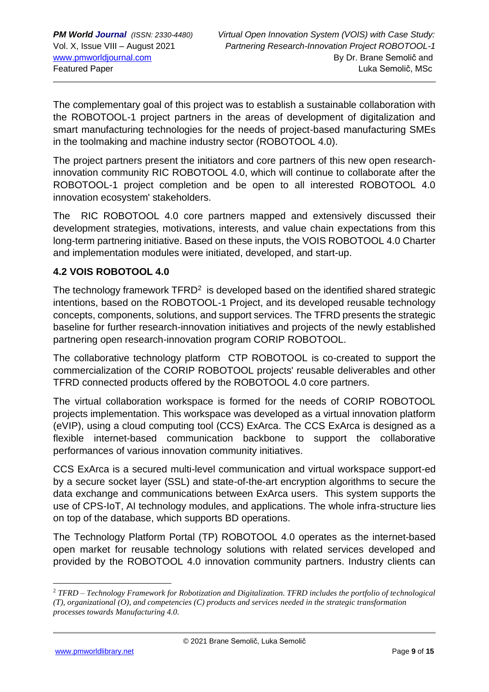The complementary goal of this project was to establish a sustainable collaboration with the ROBOTOOL-1 project partners in the areas of development of digitalization and smart manufacturing technologies for the needs of project-based manufacturing SMEs in the toolmaking and machine industry sector (ROBOTOOL 4.0).

The project partners present the initiators and core partners of this new open researchinnovation community RIC ROBOTOOL 4.0, which will continue to collaborate after the ROBOTOOL-1 project completion and be open to all interested ROBOTOOL 4.0 innovation ecosystem' stakeholders.

The RIC ROBOTOOL 4.0 core partners mapped and extensively discussed their development strategies, motivations, interests, and value chain expectations from this long-term partnering initiative. Based on these inputs, the VOIS ROBOTOOL 4.0 Charter and implementation modules were initiated, developed, and start-up.

#### **4.2 VOIS ROBOTOOL 4.0**

The technology framework  $TFRD<sup>2</sup>$  is developed based on the identified shared strategic intentions, based on the ROBOTOOL-1 Project, and its developed reusable technology concepts, components, solutions, and support services. The TFRD presents the strategic baseline for further research-innovation initiatives and projects of the newly established partnering open research-innovation program CORIP ROBOTOOL.

The collaborative technology platform CTP ROBOTOOL is co-created to support the commercialization of the CORIP ROBOTOOL projects' reusable deliverables and other TFRD connected products offered by the ROBOTOOL 4.0 core partners.

The virtual collaboration workspace is formed for the needs of CORIP ROBOTOOL projects implementation. This workspace was developed as a virtual innovation platform (eVIP), using a cloud computing tool (CCS) ExArca. The CCS ExArca is designed as a flexible internet-based communication backbone to support the collaborative performances of various innovation community initiatives.

CCS ExArca is a secured multi-level communication and virtual workspace support-ed by a secure socket layer (SSL) and state-of-the-art encryption algorithms to secure the data exchange and communications between ExArca users. This system supports the use of CPS-IoT, AI technology modules, and applications. The whole infra-structure lies on top of the database, which supports BD operations.

The Technology Platform Portal (TP) ROBOTOOL 4.0 operates as the internet-based open market for reusable technology solutions with related services developed and provided by the ROBOTOOL 4.0 innovation community partners. Industry clients can

<sup>2</sup> *TFRD – Technology Framework for Robotization and Digitalization. TFRD includes the portfolio of technological (T), organizational (O), and competencies (C) products and services needed in the strategic transformation processes towards Manufacturing 4.0.*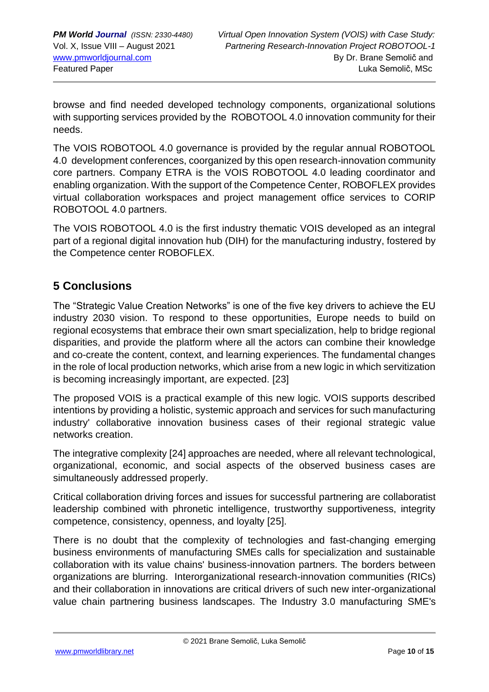browse and find needed developed technology components, organizational solutions with supporting services provided by the ROBOTOOL 4.0 innovation community for their needs.

The VOIS ROBOTOOL 4.0 governance is provided by the regular annual ROBOTOOL 4.0 development conferences, coorganized by this open research-innovation community core partners. Company ETRA is the VOIS ROBOTOOL 4.0 leading coordinator and enabling organization. With the support of the Competence Center, ROBOFLEX provides virtual collaboration workspaces and project management office services to CORIP ROBOTOOL 4.0 partners.

The VOIS ROBOTOOL 4.0 is the first industry thematic VOIS developed as an integral part of a regional digital innovation hub (DIH) for the manufacturing industry, fostered by the Competence center ROBOFLEX.

# **5 Conclusions**

The "Strategic Value Creation Networks" is one of the five key drivers to achieve the EU industry 2030 vision. To respond to these opportunities, Europe needs to build on regional ecosystems that embrace their own smart specialization, help to bridge regional disparities, and provide the platform where all the actors can combine their knowledge and co-create the content, context, and learning experiences. The fundamental changes in the role of local production networks, which arise from a new logic in which servitization is becoming increasingly important, are expected. [23]

The proposed VOIS is a practical example of this new logic. VOIS supports described intentions by providing a holistic, systemic approach and services for such manufacturing industry' collaborative innovation business cases of their regional strategic value networks creation.

The integrative complexity [24] approaches are needed, where all relevant technological, organizational, economic, and social aspects of the observed business cases are simultaneously addressed properly.

Critical collaboration driving forces and issues for successful partnering are collaboratist leadership combined with phronetic intelligence, trustworthy supportiveness, integrity competence, consistency, openness, and loyalty [25].

There is no doubt that the complexity of technologies and fast-changing emerging business environments of manufacturing SMEs calls for specialization and sustainable collaboration with its value chains' business-innovation partners. The borders between organizations are blurring. Interorganizational research-innovation communities (RICs) and their collaboration in innovations are critical drivers of such new inter-organizational value chain partnering business landscapes. The Industry 3.0 manufacturing SME's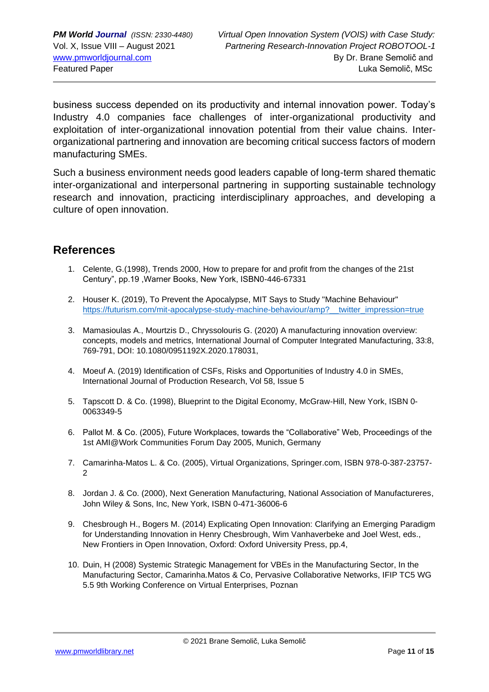business success depended on its productivity and internal innovation power. Today's Industry 4.0 companies face challenges of inter-organizational productivity and exploitation of inter-organizational innovation potential from their value chains. Interorganizational partnering and innovation are becoming critical success factors of modern manufacturing SMEs.

Such a business environment needs good leaders capable of long-term shared thematic inter-organizational and interpersonal partnering in supporting sustainable technology research and innovation, practicing interdisciplinary approaches, and developing a culture of open innovation.

#### **References**

- 1. Celente, G.(1998), Trends 2000, How to prepare for and profit from the changes of the 21st Century", pp.19 ,Warner Books, New York, ISBN0-446-67331
- 2. Houser K. (2019), To Prevent the Apocalypse, MIT Says to Study "Machine Behaviour" https://futurism.com/mit-apocalypse-study-machine-behaviour/amp? twitter\_impression=true
- 3. Mamasioulas A., Mourtzis D., Chryssolouris G. (2020) A manufacturing innovation overview: concepts, models and metrics, International Journal of Computer Integrated Manufacturing, 33:8, 769-791, DOI: 10.1080/0951192X.2020.178031,
- 4. Moeuf A. (2019) Identification of CSFs, Risks and Opportunities of Industry 4.0 in SMEs, International Journal of Production Research, Vol 58, Issue 5
- 5. Tapscott D. & Co. (1998), Blueprint to the Digital Economy, McGraw-Hill, New York, ISBN 0- 0063349-5
- 6. Pallot M. & Co. (2005), Future Workplaces, towards the "Collaborative" Web, Proceedings of the 1st AMI@Work Communities Forum Day 2005, Munich, Germany
- 7. Camarinha-Matos L. & Co. (2005), Virtual Organizations, Springer.com, ISBN 978-0-387-23757-  $\mathfrak{D}$
- 8. Jordan J. & Co. (2000), Next Generation Manufacturing, National Association of Manufactureres, John Wiley & Sons, Inc, New York, ISBN 0-471-36006-6
- 9. Chesbrough H., Bogers M. (2014) Explicating Open Innovation: Clarifying an Emerging Paradigm for Understanding Innovation in Henry Chesbrough, Wim Vanhaverbeke and Joel West, eds., New Frontiers in Open Innovation, Oxford: Oxford University Press, pp.4,
- 10. Duin, H (2008) Systemic Strategic Management for VBEs in the Manufacturing Sector, In the Manufacturing Sector, Camarinha.Matos & Co, Pervasive Collaborative Networks, IFIP TC5 WG 5.5 9th Working Conference on Virtual Enterprises, Poznan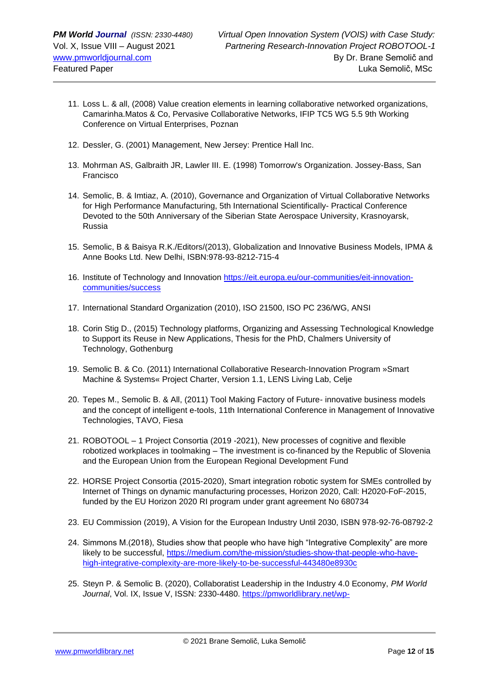- 11. Loss L. & all, (2008) Value creation elements in learning collaborative networked organizations, Camarinha.Matos & Co, Pervasive Collaborative Networks, IFIP TC5 WG 5.5 9th Working Conference on Virtual Enterprises, Poznan
- 12. Dessler, G. (2001) Management, New Jersey: Prentice Hall Inc.
- 13. Mohrman AS, Galbraith JR, Lawler III. E. (1998) Tomorrow's Organization. Jossey-Bass, San Francisco
- 14. Semolic, B. & Imtiaz, A. (2010), Governance and Organization of Virtual Collaborative Networks for High Performance Manufacturing, 5th International Scientifically- Practical Conference Devoted to the 50th Anniversary of the Siberian State Aerospace University, Krasnoyarsk, Russia
- 15. Semolic, B & Baisya R.K./Editors/(2013), Globalization and Innovative Business Models, IPMA & Anne Books Ltd. New Delhi, ISBN:978-93-8212-715-4
- 16. Institute of Technology and Innovation [https://eit.europa.eu/our-communities/eit-innovation](https://eit.europa.eu/our-communities/eit-innovation-communities/success)[communities/success](https://eit.europa.eu/our-communities/eit-innovation-communities/success)
- 17. International Standard Organization (2010), ISO 21500, ISO PC 236/WG, ANSI
- 18. Corin Stig D., (2015) Technology platforms, Organizing and Assessing Technological Knowledge to Support its Reuse in New Applications, Thesis for the PhD, Chalmers University of Technology, Gothenburg
- 19. Semolic B. & Co. (2011) International Collaborative Research-Innovation Program »Smart Machine & Systems« Project Charter, Version 1.1, LENS Living Lab, Celje
- 20. Tepes M., Semolic B. & All, (2011) Tool Making Factory of Future- innovative business models and the concept of intelligent e-tools, 11th International Conference in Management of Innovative Technologies, TAVO, Fiesa
- 21. ROBOTOOL 1 Project Consortia (2019 -2021), New processes of cognitive and flexible robotized workplaces in toolmaking – The investment is co-financed by the Republic of Slovenia and the European Union from the European Regional Development Fund
- 22. HORSE Project Consortia (2015-2020), Smart integration robotic system for SMEs controlled by Internet of Things on dynamic manufacturing processes, Horizon 2020, Call: H2020-FoF-2015, funded by the EU Horizon 2020 RI program under grant agreement No 680734
- 23. EU Commission (2019), A Vision for the European Industry Until 2030, ISBN 978-92-76-08792-2
- 24. Simmons M.(2018), Studies show that people who have high "Integrative Complexity" are more likely to be successful, [https://medium.com/the-mission/studies-show-that-people-who-have](https://medium.com/the-mission/studies-show-that-people-who-have-high-integrative-complexity-are-more-likely-to-be-successful-443480e8930c)[high-integrative-complexity-are-more-likely-to-be-successful-443480e8930c](https://medium.com/the-mission/studies-show-that-people-who-have-high-integrative-complexity-are-more-likely-to-be-successful-443480e8930c)
- 25. Steyn P. & Semolic B. (2020), Collaboratist Leadership in the Industry 4.0 Economy, *PM World Journal*, Vol. IX, Issue V, ISSN: 2330-4480. [https://pmworldlibrary.net/wp-](https://pmworldlibrary.net/wp-content/uploads/2020/04/pmwj93-May2020-Steyn-Semolic-Leading-Virtual-Dynamic-Learning-Organisations.pdf)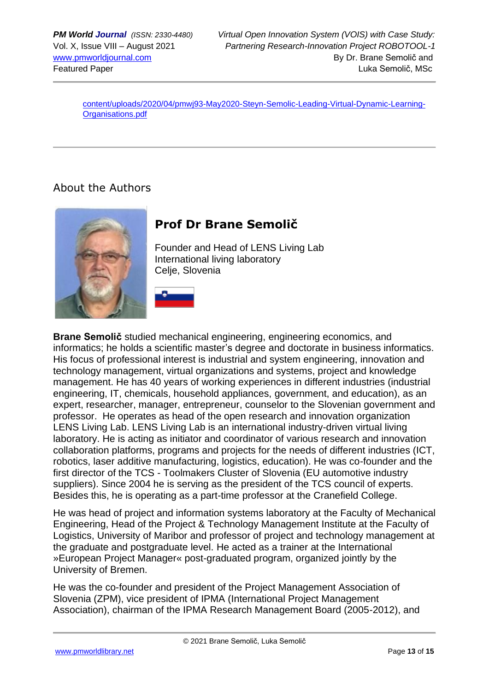[content/uploads/2020/04/pmwj93-May2020-Steyn-Semolic-Leading-Virtual-Dynamic-Learning-](https://pmworldlibrary.net/wp-content/uploads/2020/04/pmwj93-May2020-Steyn-Semolic-Leading-Virtual-Dynamic-Learning-Organisations.pdf)[Organisations.pdf](https://pmworldlibrary.net/wp-content/uploads/2020/04/pmwj93-May2020-Steyn-Semolic-Leading-Virtual-Dynamic-Learning-Organisations.pdf)

### About the Authors



# **Prof Dr Brane Semolič**

Founder and Head of LENS Living Lab International living laboratory Celje, Slovenia



**Brane Semolič** studied mechanical engineering, engineering economics, and informatics; he holds a scientific master's degree and doctorate in business informatics. His focus of professional interest is industrial and system engineering, innovation and technology management, virtual organizations and systems, project and knowledge management. He has 40 years of working experiences in different industries (industrial engineering, IT, chemicals, household appliances, government, and education), as an expert, researcher, manager, entrepreneur, counselor to the Slovenian government and professor. He operates as head of the open research and innovation organization LENS Living Lab. LENS Living Lab is an international industry-driven virtual living laboratory. He is acting as initiator and coordinator of various research and innovation collaboration platforms, programs and projects for the needs of different industries (ICT, robotics, laser additive manufacturing, logistics, education). He was co-founder and the first director of the TCS - Toolmakers Cluster of Slovenia (EU automotive industry suppliers). Since 2004 he is serving as the president of the TCS council of experts. Besides this, he is operating as a part-time professor at the Cranefield College.

He was head of project and information systems laboratory at the Faculty of Mechanical Engineering, Head of the Project & Technology Management Institute at the Faculty of Logistics, University of Maribor and professor of project and technology management at the graduate and postgraduate level. He acted as a trainer at the International »European Project Manager« post-graduated program, organized jointly by the University of Bremen.

He was the co-founder and president of the Project Management Association of Slovenia (ZPM), vice president of IPMA (International Project Management Association), chairman of the IPMA Research Management Board (2005-2012), and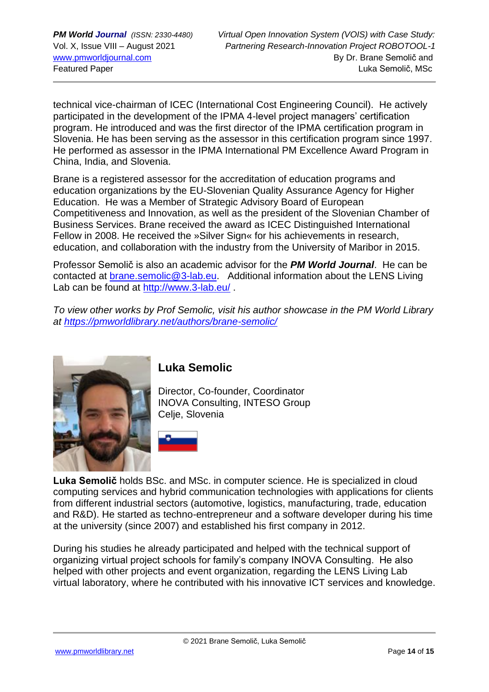technical vice-chairman of ICEC (International Cost Engineering Council). He actively participated in the development of the IPMA 4-level project managers' certification program. He introduced and was the first director of the IPMA certification program in Slovenia. He has been serving as the assessor in this certification program since 1997. He performed as assessor in the IPMA International PM Excellence Award Program in China, India, and Slovenia.

Brane is a registered assessor for the accreditation of education programs and education organizations by the EU-Slovenian Quality Assurance Agency for Higher Education. He was a Member of Strategic Advisory Board of European Competitiveness and Innovation, as well as the president of the Slovenian Chamber of Business Services. Brane received the award as ICEC Distinguished International Fellow in 2008. He received the »Silver Sign« for his achievements in research, education, and collaboration with the industry from the University of Maribor in 2015.

Professor Semolič is also an academic advisor for the *PM World Journal*. He can be contacted at [brane.semolic@](mailto:brane.semolic)3-lab.eu. Additional information about the LENS Living Lab can be found at<http://www.3-lab.eu/>.

*To view other works by Prof Semolic, visit his author showcase in the PM World Library at<https://pmworldlibrary.net/authors/brane-semolic/>*



### **Luka Semolic**

Director, Co-founder, Coordinator INOVA Consulting, INTESO Group Celje, Slovenia



**Luka Semolič** holds BSc. and MSc. in computer science. He is specialized in cloud computing services and hybrid communication technologies with applications for clients from different industrial sectors (automotive, logistics, manufacturing, trade, education and R&D). He started as techno-entrepreneur and a software developer during his time at the university (since 2007) and established his first company in 2012.

During his studies he already participated and helped with the technical support of organizing virtual project schools for family's company INOVA Consulting. He also helped with other projects and event organization, regarding the LENS Living Lab virtual laboratory, where he contributed with his innovative ICT services and knowledge.